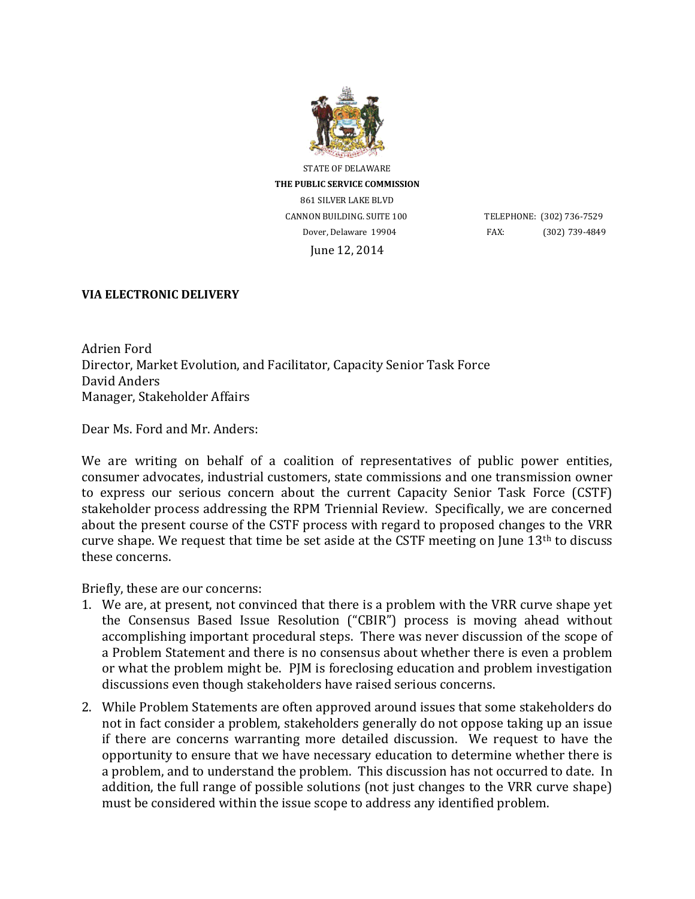

STATE OF DELAWARE **THE PUBLIC SERVICE COMMISSION** 861 SILVER LAKE BLVD CANNON BUILDING. SUITE 100 TELEPHONE: (302) 736-7529 June 12, 2014

Dover, Delaware 19904 FAX: (302) 739-4849

## **VIA ELECTRONIC DELIVERY**

Adrien Ford Director, Market Evolution, and Facilitator, Capacity Senior Task Force David Anders Manager, Stakeholder Affairs

Dear Ms. Ford and Mr. Anders:

We are writing on behalf of a coalition of representatives of public power entities, consumer advocates, industrial customers, state commissions and one transmission owner to express our serious concern about the current Capacity Senior Task Force (CSTF) stakeholder process addressing the RPM Triennial Review. Specifically, we are concerned about the present course of the CSTF process with regard to proposed changes to the VRR curve shape. We request that time be set aside at the CSTF meeting on June 13th to discuss these concerns.

Briefly, these are our concerns:

- 1. We are, at present, not convinced that there is a problem with the VRR curve shape yet the Consensus Based Issue Resolution ("CBIR") process is moving ahead without accomplishing important procedural steps. There was never discussion of the scope of a Problem Statement and there is no consensus about whether there is even a problem or what the problem might be. PJM is foreclosing education and problem investigation discussions even though stakeholders have raised serious concerns.
- 2. While Problem Statements are often approved around issues that some stakeholders do not in fact consider a problem, stakeholders generally do not oppose taking up an issue if there are concerns warranting more detailed discussion. We request to have the opportunity to ensure that we have necessary education to determine whether there is a problem, and to understand the problem. This discussion has not occurred to date. In addition, the full range of possible solutions (not just changes to the VRR curve shape) must be considered within the issue scope to address any identified problem.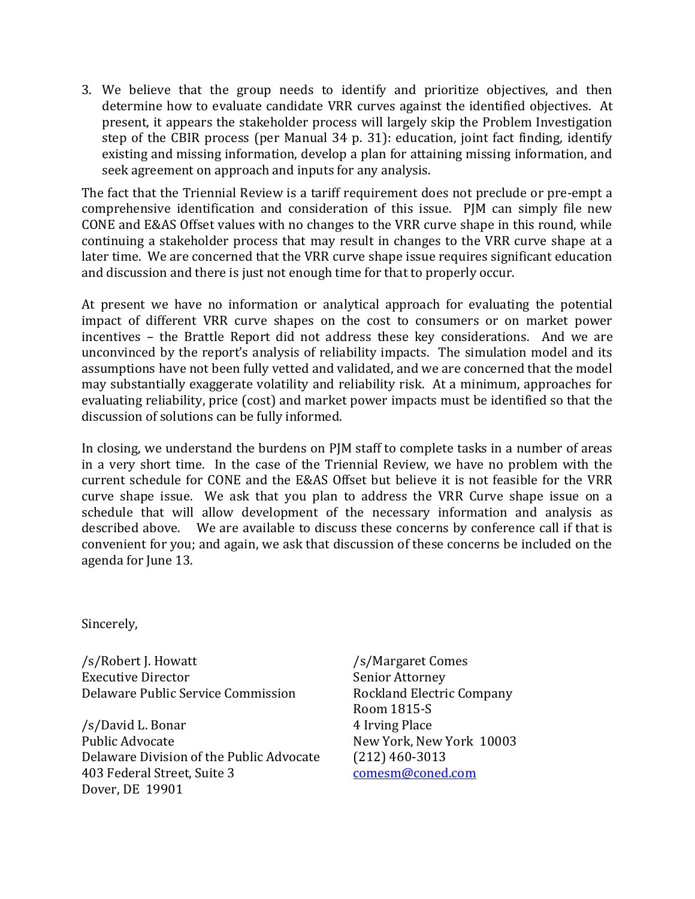3. We believe that the group needs to identify and prioritize objectives, and then determine how to evaluate candidate VRR curves against the identified objectives. At present, it appears the stakeholder process will largely skip the Problem Investigation step of the CBIR process (per Manual 34 p. 31): education, joint fact finding, identify existing and missing information, develop a plan for attaining missing information, and seek agreement on approach and inputs for any analysis.

The fact that the Triennial Review is a tariff requirement does not preclude or pre-empt a comprehensive identification and consideration of this issue. PJM can simply file new CONE and E&AS Offset values with no changes to the VRR curve shape in this round, while continuing a stakeholder process that may result in changes to the VRR curve shape at a later time. We are concerned that the VRR curve shape issue requires significant education and discussion and there is just not enough time for that to properly occur.

At present we have no information or analytical approach for evaluating the potential impact of different VRR curve shapes on the cost to consumers or on market power incentives – the Brattle Report did not address these key considerations. And we are unconvinced by the report's analysis of reliability impacts. The simulation model and its assumptions have not been fully vetted and validated, and we are concerned that the model may substantially exaggerate volatility and reliability risk. At a minimum, approaches for evaluating reliability, price (cost) and market power impacts must be identified so that the discussion of solutions can be fully informed.

In closing, we understand the burdens on PJM staff to complete tasks in a number of areas in a very short time. In the case of the Triennial Review, we have no problem with the current schedule for CONE and the E&AS Offset but believe it is not feasible for the VRR curve shape issue. We ask that you plan to address the VRR Curve shape issue on a schedule that will allow development of the necessary information and analysis as described above. We are available to discuss these concerns by conference call if that is convenient for you; and again, we ask that discussion of these concerns be included on the agenda for June 13.

Sincerely,

/s/Robert J. Howatt Executive Director Delaware Public Service Commission

/s/David L. Bonar Public Advocate Delaware Division of the Public Advocate 403 Federal Street, Suite 3 Dover, DE 19901

/s/Margaret Comes Senior Attorney Rockland Electric Company Room 1815-S 4 Irving Place New York, New York 10003 (212) 460-3013 [comesm@coned.com](mailto:comesm@coned.com)